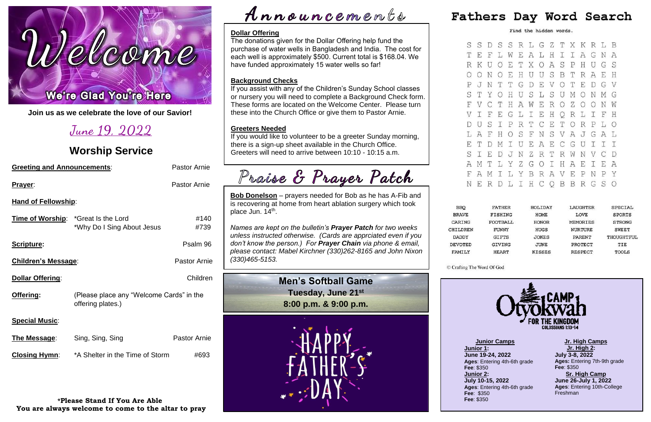# lcom ī Ĺ

**Join us as we celebrate the love of our Savior!**

# **June 19, 2022**

### **Worship Service**

| <b>Greeting and Announcements:</b>                                       |                     |  |  |  |  |  |
|--------------------------------------------------------------------------|---------------------|--|--|--|--|--|
|                                                                          | <b>Pastor Arnie</b> |  |  |  |  |  |
| <b>Hand of Fellowship:</b>                                               |                     |  |  |  |  |  |
| <b>Time of Worship:</b> *Great Is the Lord<br>*Why Do I Sing About Jesus | #140<br>#739        |  |  |  |  |  |
|                                                                          | Psalm 96            |  |  |  |  |  |
| <b>Children's Message:</b>                                               |                     |  |  |  |  |  |
|                                                                          | Children            |  |  |  |  |  |
| (Please place any "Welcome Cards" in the<br>offering plates.)            |                     |  |  |  |  |  |
|                                                                          |                     |  |  |  |  |  |
| Sing, Sing, Sing                                                         | <b>Pastor Arnie</b> |  |  |  |  |  |
| *A Shelter in the Time of Storm                                          | #693                |  |  |  |  |  |
|                                                                          |                     |  |  |  |  |  |

**Bob Donelson** – prayers needed for Bob as he has A-Fib and is recovering at home from heart ablation surgery which took place Jun. 14<sup>th</sup>.

**\*Please Stand If You Are Able You are always welcome to come to the altar to pray**

# $\boldsymbol{\mathcal{A}}$ nnouncements

|          |              |         |   |              |     |     |         |             | S D S S R L G Z T X K R L B |         |             |   |               |
|----------|--------------|---------|---|--------------|-----|-----|---------|-------------|-----------------------------|---------|-------------|---|---------------|
| Ŧ,       | $\mathbf{F}$ | L       | W |              |     |     |         |             | EALHIIAG                    |         |             | Ν | $\mathcal{A}$ |
| ζ        | U            | $\circ$ | E | T            |     |     | X O A   | S           | $\mathbf P$                 | H       | U           | G | S             |
| C        | N            | $\circ$ | E | H            | U   | U   | S       | $\mathbf B$ | Т                           | R       | A           | E | H             |
|          | JN T         |         | Τ | G            | D   |     | E V O   |             | T                           | E       | $\mathbb D$ | G | V             |
|          | I Y O        |         | Η | U            | S   | L   |         |             | SUM                         | O       | N           | М | G             |
|          | V C          | T       |   | H A W E      |     |     | R       | OZ          |                             | $\circ$ | $\circ$     | N | Ŵ             |
| I        | $\mathbf{F}$ | E       |   | G L          |     | I E | H       |             | Q R                         | L       | I           | F | Η             |
|          | J S          | I       |   | P R T C      |     |     | E       |             | T O                         | R       | P           | L | $\circ$       |
|          | A F          | H       |   |              |     |     | OSFNSVA |             |                             |         | J G A       |   | L             |
| $\Gamma$ | D            | M I     |   | U            | E A |     |         | E C G       |                             | U       | I.          | I | I             |
| I        | E            | D       |   |              |     |     | JNZRTRW |             |                             | N       | V           | C | D             |
| Ŋ        | T            | L       |   | Y Z          | G   |     | O I     | Н           | A                           | E       | I           | E | A             |
| Ą        | М            | Τ       |   | L Y          | B   |     | R A V E |             |                             | P       | Ν           | P | Y             |
| Ŧ,       | R            | D       | L | $\mathbb{I}$ |     |     |         |             | H C Q B B                   | R       | G           | S | О             |
|          |              |         |   |              |     |     |         |             |                             |         |             |   |               |

| <b>FATHER</b>  | HOLIDAY      | LAUGHTER        | SPECIAL       |
|----------------|--------------|-----------------|---------------|
| <b>FISHING</b> | <b>HOME</b>  | LOVE            | <b>SPORTS</b> |
| FOOTBALL       | HONOR        | <b>MEMORIES</b> | <b>STRONG</b> |
| <b>FUNNY</b>   | <b>HUGS</b>  | <b>NURTURE</b>  | <b>SWEET</b>  |
| <b>GIFTS</b>   | <b>JOKES</b> | PARENT          | THOUGHTFUL    |
| GIVING         | JUNE         | PROTECT         | TIE           |
| HEART          | KISSES       | RESPECT         | TOOLS         |
|                |              |                 |               |



*Names are kept on the bulletin's Prayer Patch for two weeks unless instructed otherwise. (Cards are apprciated even if you don't know the person.) For Prayer Chain via phone & email, please contact: Mabel Kirchner (330)262-8165 and John Nixon (330)465-5153.*

### **Dollar Offering**

The donations given for the Dollar Offering help fund the purchase of water wells in Bangladesh and India. The cost for each well is approximately \$500. Current total is \$168.04. We have funded approximately 15 water wells so far!



S S  $T<sub>1</sub>$ R I  $O($ P  $S$ <sup> $\cdot$ </sup>  $F<sub>1</sub>$  $\mathbf V$  $D$  1 L  $F$ 

S

A  $FZ$ 

N

**BBQ BRAVE** CARING CHILDREN **DADDY DEVOTED** FAMILY

C Crafting The Word Of God

Fathers Day Word Search

Find the hidden words.

### **Background Checks**

If you assist with any of the Children's Sunday School classes or nursery you will need to complete a Background Check form. These forms are located on the Welcome Center. Please turn these into the Church Office or give them to Pastor Arnie.

### **Greeters Needed**

If you would like to volunteer to be a greeter Sunday morning, there is a sign-up sheet available in the Church Office. Greeters will need to arrive between 10:10 - 10:15 a.m.

Praise & Prayer Patch

**Jr. High Camps Jr. High 2: July 3-8, 2022 Ages:** Entering 7th-9th grade **Fee**: \$350 **Sr. High Camp June 26-July 1, 2022 Ages**: Entering 10th-College Freshman

**Junior Camps Junior 1: June 19-24, 2022 Ages**: Entering 4th-6th grade **Fee**: \$350 **Junior 2: July 10-15, 2022 Ages**: Entering 4th-6th grade **Fee**: \$350 **Fee**: \$350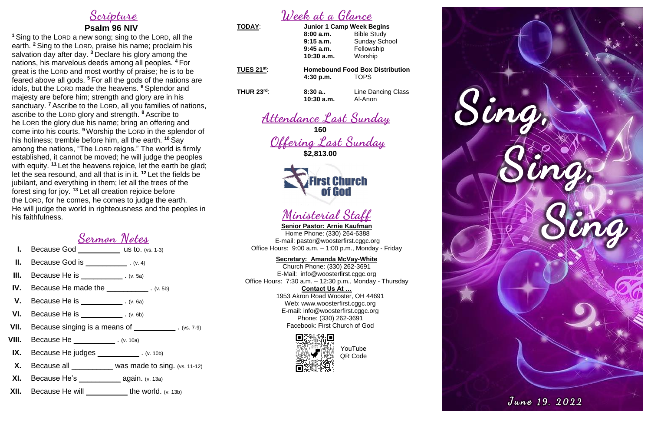## **Scripture**

### **Psalm 96 NIV**

**<sup>1</sup>**Sing to the LORD a new song; sing to the LORD, all the earth. **<sup>2</sup>** Sing to the LORD, praise his name; proclaim his salvation day after day. **<sup>3</sup>** Declare his glory among the nations, his marvelous deeds among all peoples. **<sup>4</sup>** For great is the LORD and most worthy of praise; he is to be feared above all gods. **<sup>5</sup>** For all the gods of the nations are idols, but the LORD made the heavens. **<sup>6</sup>** Splendor and majesty are before him; strength and glory are in his sanctuary. **<sup>7</sup>** Ascribe to the LORD, all you families of nations, ascribe to the LORD glory and strength. **<sup>8</sup>** Ascribe to he LORD the glory due his name; bring an offering and come into his courts. **<sup>9</sup>** Worship the LORD in the splendor of his holiness; tremble before him, all the earth. **<sup>10</sup>** Say among the nations, "The LORD reigns." The world is firmly established, it cannot be moved; he will judge the peoples with equity. **<sup>11</sup>** Let the heavens rejoice, let the earth be glad; let the sea resound, and all that is in it. **<sup>12</sup>** Let the fields be jubilant, and everything in them; let all the trees of the forest sing for joy. **<sup>13</sup>** Let all creation rejoice before the LORD, for he comes, he comes to judge the earth. He will judge the world in righteousness and the peoples in his faithfulness.

# **Sermon Notes**

- **I.** Because God \_\_\_\_\_\_\_\_\_\_\_\_\_ us to. (vs. 1-3)
- **II.** Because God is \_\_\_\_\_\_\_\_\_\_\_\_\_. (v. 4)
- **III.** Because He is \_\_\_\_\_\_\_\_\_\_\_\_\_. (v. 5a)
- **IV.** Because He made the \_\_\_\_\_\_\_\_\_\_\_\_\_. (v. 5b)
- **V.** Because He is \_\_\_\_\_\_\_\_\_\_\_\_. (v. 6a)
- **VI.** Because He is  $(v. 6b)$
- **VII.** Because singing is a means of \_\_\_\_\_\_\_\_\_\_\_\_\_\_. (vs. 7-9)
- **VIII.** Because He \_\_\_\_\_\_\_\_\_\_\_\_\_\_\_. (v. 10a)
- **IX.** Because He judges \_\_\_\_\_\_\_\_\_\_\_\_\_. (v. 10b)
- **X.** Because all \_\_\_\_\_\_\_\_\_\_ was made to sing. (vs. 11-12)
- **XI.** Because He's \_\_\_\_\_\_\_\_\_\_\_\_\_\_\_ again. (v. 13a)
- **XII.** Because He will \_\_\_\_\_\_\_\_\_\_ the world. (v. 13b)

# **Week at a Glance**

| TODAY:            | <b>Junior 1 Camp Week Begins</b>                                   |                               |  |
|-------------------|--------------------------------------------------------------------|-------------------------------|--|
|                   | 8:00a.m.                                                           | <b>Bible Study</b>            |  |
|                   | $9:15$ a.m.                                                        | <b>Sunday School</b>          |  |
|                   | $9:45$ a.m.                                                        | Fellowship                    |  |
|                   | $10:30$ a.m.                                                       | Worship                       |  |
| <b>TUES 21st:</b> | <b>Homebound Food Box Distribution</b><br><b>TOPS</b><br>4:30 p.m. |                               |  |
| <b>THUR 23rd:</b> | 8:30a<br>$10:30$ a.m.                                              | Line Dancing Class<br>Al-Anon |  |
|                   |                                                                    |                               |  |

**Attendance Last Sunday**

**160 Offering Last Sunday \$2,813.00**





**Senior Pastor: Arnie Kaufman** Home Phone: (330) 264-6388 E-mail: [pastor@woosterfirst.cggc.org](mailto:pastor@woosterfirst.cggc.org) Office Hours: 9:00 a.m. – 1:00 p.m., Monday - Friday

### **Secretary: Amanda McVay-White**

Church Phone: (330) 262-3691 E-Mail: info@woosterfirst.cggc.org Office Hours: 7:30 a.m. – 12:30 p.m., Monday - Thursday

**Contact Us At …** 1953 Akron Road Wooster, OH 44691 Web: [www.woosterfirst.cggc.org](http://www.woosterfirst.cggc.org/) E-mail: info@woosterfirst.cggc.org Phone: (330) 262-3691 Facebook: First Church of God





YouTube QR Code